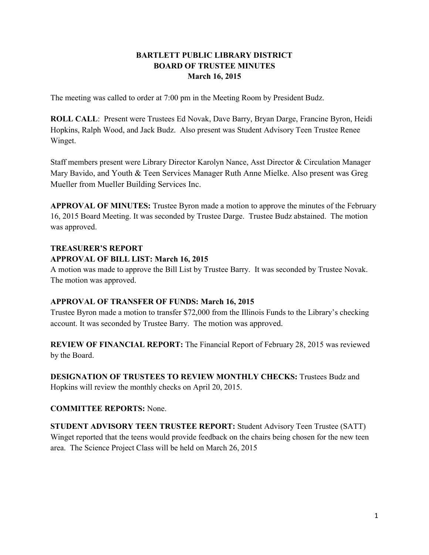# **BARTLETT PUBLIC LIBRARY DISTRICT BOARD OF TRUSTEE MINUTES March 16, 2015**

The meeting was called to order at 7:00 pm in the Meeting Room by President Budz.

**ROLL CALL**: Present were Trustees Ed Novak, Dave Barry, Bryan Darge, Francine Byron, Heidi Hopkins, Ralph Wood, and Jack Budz. Also present was Student Advisory Teen Trustee Renee Winget.

Staff members present were Library Director Karolyn Nance, Asst Director & Circulation Manager Mary Bavido, and Youth & Teen Services Manager Ruth Anne Mielke. Also present was Greg Mueller from Mueller Building Services Inc.

**APPROVAL OF MINUTES:** Trustee Byron made a motion to approve the minutes of the February 16, 2015 Board Meeting. It was seconded by Trustee Darge. Trustee Budz abstained. The motion was approved.

## **TREASURER'S REPORT**

### **APPROVAL OF BILL LIST: March 16, 2015**

A motion was made to approve the Bill List by Trustee Barry. It was seconded by Trustee Novak. The motion was approved.

## **APPROVAL OF TRANSFER OF FUNDS: March 16, 2015**

Trustee Byron made a motion to transfer \$72,000 from the Illinois Funds to the Library's checking account. It was seconded by Trustee Barry. The motion was approved.

**REVIEW OF FINANCIAL REPORT:** The Financial Report of February 28, 2015 was reviewed by the Board.

**DESIGNATION OF TRUSTEES TO REVIEW MONTHLY CHECKS:** Trustees Budz and Hopkins will review the monthly checks on April 20, 2015.

## **COMMITTEE REPORTS:** None.

**STUDENT ADVISORY TEEN TRUSTEE REPORT:** Student Advisory Teen Trustee (SATT) Winget reported that the teens would provide feedback on the chairs being chosen for the new teen area. The Science Project Class will be held on March 26, 2015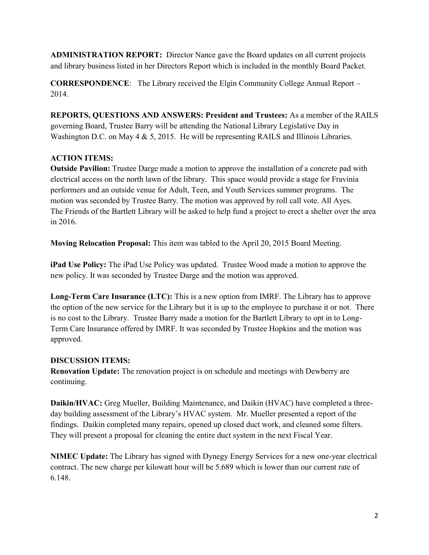**ADMINISTRATION REPORT:** Director Nance gave the Board updates on all current projects and library business listed in her Directors Report which is included in the monthly Board Packet.

**CORRESPONDENCE**: The Library received the Elgin Community College Annual Report – 2014.

**REPORTS, QUESTIONS AND ANSWERS: President and Trustees:** As a member of the RAILS governing Board, Trustee Barry will be attending the National Library Legislative Day in Washington D.C. on May 4 & 5, 2015. He will be representing RAILS and Illinois Libraries.

# **ACTION ITEMS:**

**Outside Pavilion:** Trustee Darge made a motion to approve the installation of a concrete pad with electrical access on the north lawn of the library. This space would provide a stage for Fravinia performers and an outside venue for Adult, Teen, and Youth Services summer programs. The motion was seconded by Trustee Barry. The motion was approved by roll call vote. All Ayes. The Friends of the Bartlett Library will be asked to help fund a project to erect a shelter over the area in 2016.

**Moving Relocation Proposal:** This item was tabled to the April 20, 2015 Board Meeting.

**iPad Use Policy:** The iPad Use Policy was updated. Trustee Wood made a motion to approve the new policy. It was seconded by Trustee Darge and the motion was approved.

**Long-Term Care Insurance (LTC):** This is a new option from IMRF. The Library has to approve the option of the new service for the Library but it is up to the employee to purchase it or not. There is no cost to the Library. Trustee Barry made a motion for the Bartlett Library to opt in to Long-Term Care Insurance offered by IMRF. It was seconded by Trustee Hopkins and the motion was approved.

## **DISCUSSION ITEMS:**

**Renovation Update:** The renovation project is on schedule and meetings with Dewberry are continuing.

**Daikin/HVAC:** Greg Mueller, Building Maintenance, and Daikin (HVAC) have completed a threeday building assessment of the Library's HVAC system. Mr. Mueller presented a report of the findings. Daikin completed many repairs, opened up closed duct work, and cleaned some filters. They will present a proposal for cleaning the entire duct system in the next Fiscal Year.

**NIMEC Update:** The Library has signed with Dynegy Energy Services for a new one-year electrical contract. The new charge per kilowatt hour will be 5.689 which is lower than our current rate of 6.148.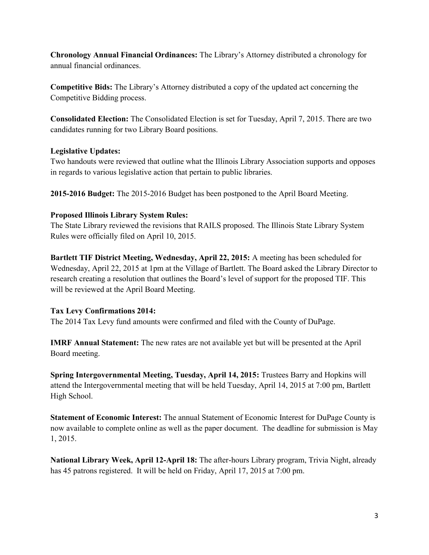**Chronology Annual Financial Ordinances:** The Library's Attorney distributed a chronology for annual financial ordinances.

**Competitive Bids:** The Library's Attorney distributed a copy of the updated act concerning the Competitive Bidding process.

**Consolidated Election:** The Consolidated Election is set for Tuesday, April 7, 2015. There are two candidates running for two Library Board positions.

### **Legislative Updates:**

Two handouts were reviewed that outline what the Illinois Library Association supports and opposes in regards to various legislative action that pertain to public libraries.

**2015-2016 Budget:** The 2015-2016 Budget has been postponed to the April Board Meeting.

### **Proposed Illinois Library System Rules:**

The State Library reviewed the revisions that RAILS proposed. The Illinois State Library System Rules were officially filed on April 10, 2015.

**Bartlett TIF District Meeting, Wednesday, April 22, 2015:** A meeting has been scheduled for Wednesday, April 22, 2015 at 1pm at the Village of Bartlett. The Board asked the Library Director to research creating a resolution that outlines the Board's level of support for the proposed TIF. This will be reviewed at the April Board Meeting.

## **Tax Levy Confirmations 2014:**

The 2014 Tax Levy fund amounts were confirmed and filed with the County of DuPage.

**IMRF Annual Statement:** The new rates are not available yet but will be presented at the April Board meeting.

**Spring Intergovernmental Meeting, Tuesday, April 14, 2015:** Trustees Barry and Hopkins will attend the Intergovernmental meeting that will be held Tuesday, April 14, 2015 at 7:00 pm, Bartlett High School.

**Statement of Economic Interest:** The annual Statement of Economic Interest for DuPage County is now available to complete online as well as the paper document. The deadline for submission is May 1, 2015.

**National Library Week, April 12-April 18:** The after-hours Library program, Trivia Night, already has 45 patrons registered. It will be held on Friday, April 17, 2015 at 7:00 pm.